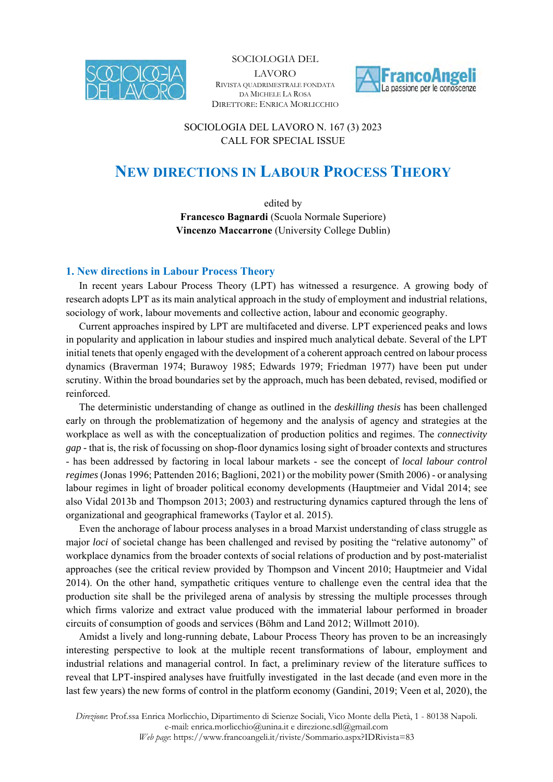



SOCIOLOGIA DEL LAVORO N. 167 (3) 2023 CALL FOR SPECIAL ISSUE

# **NEW DIRECTIONS IN LABOUR PROCESS THEORY**

edited by **Francesco Bagnardi** (Scuola Normale Superiore) **Vincenzo Maccarrone** (University College Dublin)

## **1. New directions in Labour Process Theory**

In recent years Labour Process Theory (LPT) has witnessed a resurgence. A growing body of research adopts LPT as its main analytical approach in the study of employment and industrial relations, sociology of work, labour movements and collective action, labour and economic geography.

Current approaches inspired by LPT are multifaceted and diverse. LPT experienced peaks and lows in popularity and application in labour studies and inspired much analytical debate. Several of the LPT initial tenets that openly engaged with the development of a coherent approach centred on labour process dynamics (Braverman 1974; Burawoy 1985; Edwards 1979; Friedman 1977) have been put under scrutiny. Within the broad boundaries set by the approach, much has been debated, revised, modified or reinforced.

The deterministic understanding of change as outlined in the *deskilling thesis* has been challenged early on through the problematization of hegemony and the analysis of agency and strategies at the workplace as well as with the conceptualization of production politics and regimes. The *connectivity gap -* that is, the risk of focussing on shop-floor dynamics losing sight of broader contexts and structures - has been addressed by factoring in local labour markets - see the concept of *local labour control regimes* (Jonas 1996; Pattenden 2016; Baglioni, 2021) or the mobility power (Smith 2006) - or analysing labour regimes in light of broader political economy developments (Hauptmeier and Vidal 2014; see also Vidal 2013b and Thompson 2013; 2003) and restructuring dynamics captured through the lens of organizational and geographical frameworks (Taylor et al. 2015).

Even the anchorage of labour process analyses in a broad Marxist understanding of class struggle as major *loci* of societal change has been challenged and revised by positing the "relative autonomy" of workplace dynamics from the broader contexts of social relations of production and by post-materialist approaches (see the critical review provided by Thompson and Vincent 2010; Hauptmeier and Vidal 2014). On the other hand, sympathetic critiques venture to challenge even the central idea that the production site shall be the privileged arena of analysis by stressing the multiple processes through which firms valorize and extract value produced with the immaterial labour performed in broader circuits of consumption of goods and services (Böhm and Land 2012; Willmott 2010).

Amidst a lively and long-running debate, Labour Process Theory has proven to be an increasingly interesting perspective to look at the multiple recent transformations of labour, employment and industrial relations and managerial control. In fact, a preliminary review of the literature suffices to reveal that LPT-inspired analyses have fruitfully investigated in the last decade (and even more in the last few years) the new forms of control in the platform economy (Gandini, 2019; Veen et al, 2020), the

*Direzione*: Prof.ssa Enrica Morlicchio, Dipartimento di Scienze Sociali, Vico Monte della Pietà, 1 - 80138 Napoli. e-mail: enrica.morlicchio@unina.it e direzione.sdl@gmail.com *Web page*: https://www.francoangeli.it/riviste/Sommario.aspx?IDRivista=83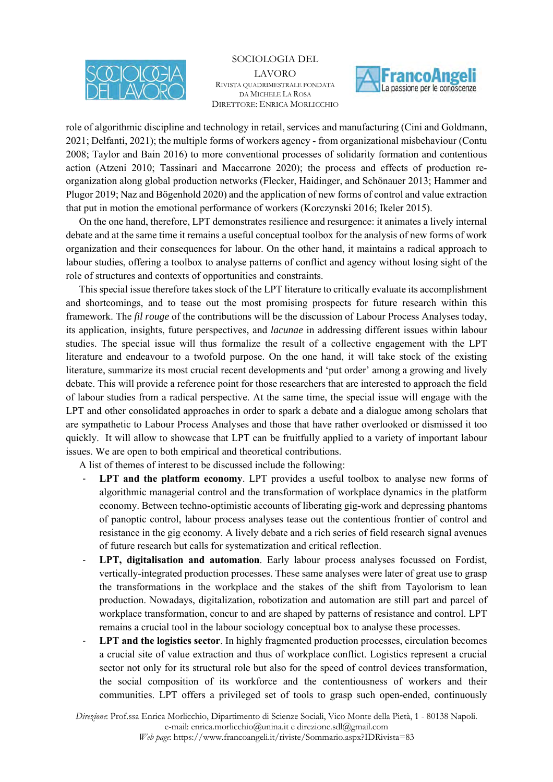



role of algorithmic discipline and technology in retail, services and manufacturing (Cini and Goldmann, 2021; Delfanti, 2021); the multiple forms of workers agency - from organizational misbehaviour (Contu 2008; Taylor and Bain 2016) to more conventional processes of solidarity formation and contentious action (Atzeni 2010; Tassinari and Maccarrone 2020); the process and effects of production reorganization along global production networks (Flecker, Haidinger, and Schönauer 2013; Hammer and Plugor 2019; Naz and Bögenhold 2020) and the application of new forms of control and value extraction that put in motion the emotional performance of workers (Korczynski 2016; Ikeler 2015).

On the one hand, therefore, LPT demonstrates resilience and resurgence: it animates a lively internal debate and at the same time it remains a useful conceptual toolbox for the analysis of new forms of work organization and their consequences for labour. On the other hand, it maintains a radical approach to labour studies, offering a toolbox to analyse patterns of conflict and agency without losing sight of the role of structures and contexts of opportunities and constraints.

This special issue therefore takes stock of the LPT literature to critically evaluate its accomplishment and shortcomings, and to tease out the most promising prospects for future research within this framework. The *fil rouge* of the contributions will be the discussion of Labour Process Analyses today, its application, insights, future perspectives, and *lacunae* in addressing different issues within labour studies. The special issue will thus formalize the result of a collective engagement with the LPT literature and endeavour to a twofold purpose. On the one hand, it will take stock of the existing literature, summarize its most crucial recent developments and 'put order' among a growing and lively debate. This will provide a reference point for those researchers that are interested to approach the field of labour studies from a radical perspective. At the same time, the special issue will engage with the LPT and other consolidated approaches in order to spark a debate and a dialogue among scholars that are sympathetic to Labour Process Analyses and those that have rather overlooked or dismissed it too quickly. It will allow to showcase that LPT can be fruitfully applied to a variety of important labour issues. We are open to both empirical and theoretical contributions.

A list of themes of interest to be discussed include the following:

- LPT and the platform economy. LPT provides a useful toolbox to analyse new forms of algorithmic managerial control and the transformation of workplace dynamics in the platform economy. Between techno-optimistic accounts of liberating gig-work and depressing phantoms of panoptic control, labour process analyses tease out the contentious frontier of control and resistance in the gig economy. A lively debate and a rich series of field research signal avenues of future research but calls for systematization and critical reflection.
- LPT, digitalisation and automation. Early labour process analyses focussed on Fordist, vertically-integrated production processes. These same analyses were later of great use to grasp the transformations in the workplace and the stakes of the shift from Tayolorism to lean production. Nowadays, digitalization, robotization and automation are still part and parcel of workplace transformation, concur to and are shaped by patterns of resistance and control. LPT remains a crucial tool in the labour sociology conceptual box to analyse these processes.
- **LPT and the logistics sector**. In highly fragmented production processes, circulation becomes a crucial site of value extraction and thus of workplace conflict. Logistics represent a crucial sector not only for its structural role but also for the speed of control devices transformation, the social composition of its workforce and the contentiousness of workers and their communities. LPT offers a privileged set of tools to grasp such open-ended, continuously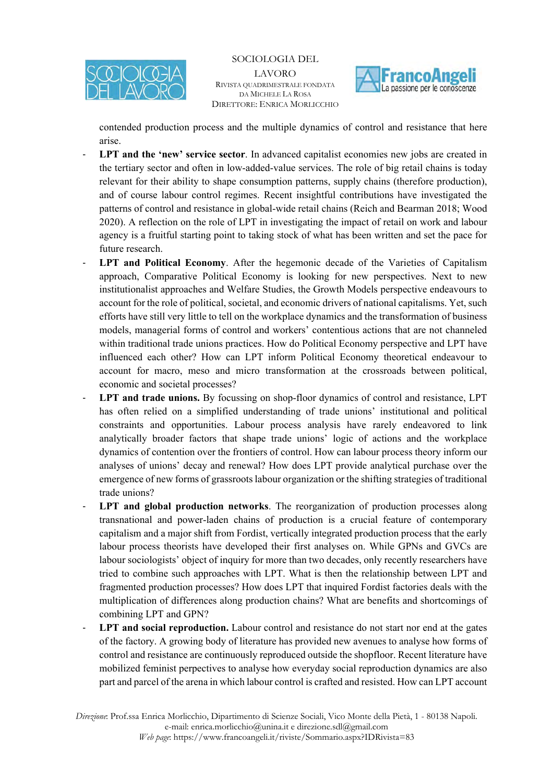



contended production process and the multiple dynamics of control and resistance that here arise.

- LPT and the 'new' service sector. In advanced capitalist economies new jobs are created in the tertiary sector and often in low-added-value services. The role of big retail chains is today relevant for their ability to shape consumption patterns, supply chains (therefore production), and of course labour control regimes. Recent insightful contributions have investigated the patterns of control and resistance in global-wide retail chains (Reich and Bearman 2018; Wood 2020). A reflection on the role of LPT in investigating the impact of retail on work and labour agency is a fruitful starting point to taking stock of what has been written and set the pace for future research.
- **LPT and Political Economy.** After the hegemonic decade of the Varieties of Capitalism approach, Comparative Political Economy is looking for new perspectives. Next to new institutionalist approaches and Welfare Studies, the Growth Models perspective endeavours to account for the role of political, societal, and economic drivers of national capitalisms. Yet, such efforts have still very little to tell on the workplace dynamics and the transformation of business models, managerial forms of control and workers' contentious actions that are not channeled within traditional trade unions practices. How do Political Economy perspective and LPT have influenced each other? How can LPT inform Political Economy theoretical endeavour to account for macro, meso and micro transformation at the crossroads between political, economic and societal processes?
- LPT and trade unions. By focussing on shop-floor dynamics of control and resistance, LPT has often relied on a simplified understanding of trade unions' institutional and political constraints and opportunities. Labour process analysis have rarely endeavored to link analytically broader factors that shape trade unions' logic of actions and the workplace dynamics of contention over the frontiers of control. How can labour process theory inform our analyses of unions' decay and renewal? How does LPT provide analytical purchase over the emergence of new forms of grassroots labour organization or the shifting strategies of traditional trade unions?
- LPT and global production networks. The reorganization of production processes along transnational and power-laden chains of production is a crucial feature of contemporary capitalism and a major shift from Fordist, vertically integrated production process that the early labour process theorists have developed their first analyses on. While GPNs and GVCs are labour sociologists' object of inquiry for more than two decades, only recently researchers have tried to combine such approaches with LPT. What is then the relationship between LPT and fragmented production processes? How does LPT that inquired Fordist factories deals with the multiplication of differences along production chains? What are benefits and shortcomings of combining LPT and GPN?
- LPT and social reproduction. Labour control and resistance do not start nor end at the gates of the factory. A growing body of literature has provided new avenues to analyse how forms of control and resistance are continuously reproduced outside the shopfloor. Recent literature have mobilized feminist perpectives to analyse how everyday social reproduction dynamics are also part and parcel of the arena in which labour control is crafted and resisted. How can LPT account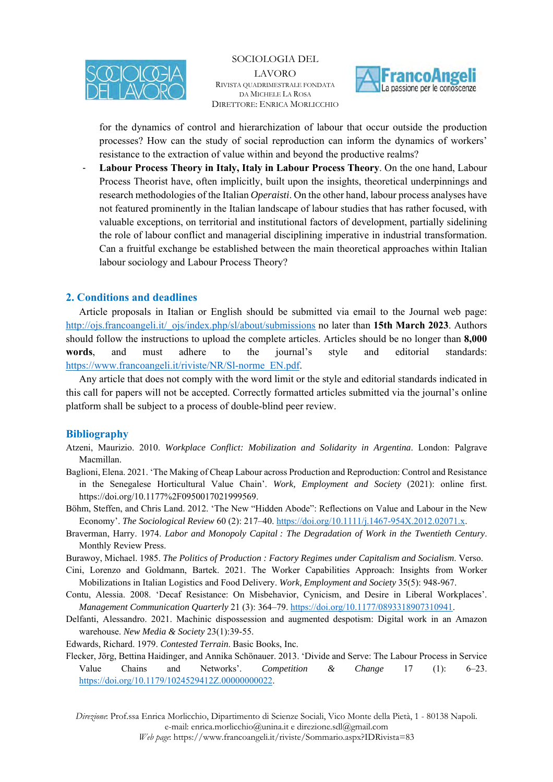



for the dynamics of control and hierarchization of labour that occur outside the production processes? How can the study of social reproduction can inform the dynamics of workers' resistance to the extraction of value within and beyond the productive realms?

- **Labour Process Theory in Italy, Italy in Labour Process Theory**. On the one hand, Labour Process Theorist have, often implicitly, built upon the insights, theoretical underpinnings and research methodologies of the Italian *Operaisti*. On the other hand, labour process analyses have not featured prominently in the Italian landscape of labour studies that has rather focused, with valuable exceptions, on territorial and institutional factors of development, partially sidelining the role of labour conflict and managerial disciplining imperative in industrial transformation. Can a fruitful exchange be established between the main theoretical approaches within Italian labour sociology and Labour Process Theory?

## **2. Conditions and deadlines**

Article proposals in Italian or English should be submitted via email to the Journal web page: http://ojs.francoangeli.it/\_ojs/index.php/sl/about/submissions no later than **15th March 2023**. Authors should follow the instructions to upload the complete articles. Articles should be no longer than **8,000 words**, and must adhere to the journal's style and editorial standards: https://www.francoangeli.it/riviste/NR/Sl-norme\_EN.pdf.

Any article that does not comply with the word limit or the style and editorial standards indicated in this call for papers will not be accepted. Correctly formatted articles submitted via the journal's online platform shall be subject to a process of double-blind peer review.

#### **Bibliography**

- Atzeni, Maurizio. 2010. *Workplace Conflict: Mobilization and Solidarity in Argentina*. London: Palgrave Macmillan.
- Baglioni, Elena. 2021. 'The Making of Cheap Labour across Production and Reproduction: Control and Resistance in the Senegalese Horticultural Value Chain'. *Work, Employment and Society* (2021): online first. https://doi.org/10.1177%2F0950017021999569.
- Böhm, Steffen, and Chris Land. 2012. 'The New "Hidden Abode": Reflections on Value and Labour in the New Economy'. *The Sociological Review* 60 (2): 217–40. https://doi.org/10.1111/j.1467-954X.2012.02071.x.
- Braverman, Harry. 1974. *Labor and Monopoly Capital : The Degradation of Work in the Twentieth Century*. Monthly Review Press.
- Burawoy, Michael. 1985. *The Politics of Production : Factory Regimes under Capitalism and Socialism*. Verso.
- Cini, Lorenzo and Goldmann, Bartek. 2021. The Worker Capabilities Approach: Insights from Worker Mobilizations in Italian Logistics and Food Delivery. *Work, Employment and Society* 35(5): 948-967.
- Contu, Alessia. 2008. 'Decaf Resistance: On Misbehavior, Cynicism, and Desire in Liberal Workplaces'. *Management Communication Quarterly* 21 (3): 364–79. https://doi.org/10.1177/0893318907310941.
- Delfanti, Alessandro. 2021. Machinic dispossession and augmented despotism: Digital work in an Amazon warehouse. *New Media & Society* 23(1):39-55.
- Edwards, Richard. 1979. *Contested Terrain*. Basic Books, Inc.
- Flecker, Jörg, Bettina Haidinger, and Annika Schönauer. 2013. 'Divide and Serve: The Labour Process in Service Value Chains and Networks'. *Competition & Change* 17 (1): 6–23. https://doi.org/10.1179/1024529412Z.00000000022.

*Direzione*: Prof.ssa Enrica Morlicchio, Dipartimento di Scienze Sociali, Vico Monte della Pietà, 1 - 80138 Napoli. e-mail: enrica.morlicchio@unina.it e direzione.sdl@gmail.com *Web page*: https://www.francoangeli.it/riviste/Sommario.aspx?IDRivista=83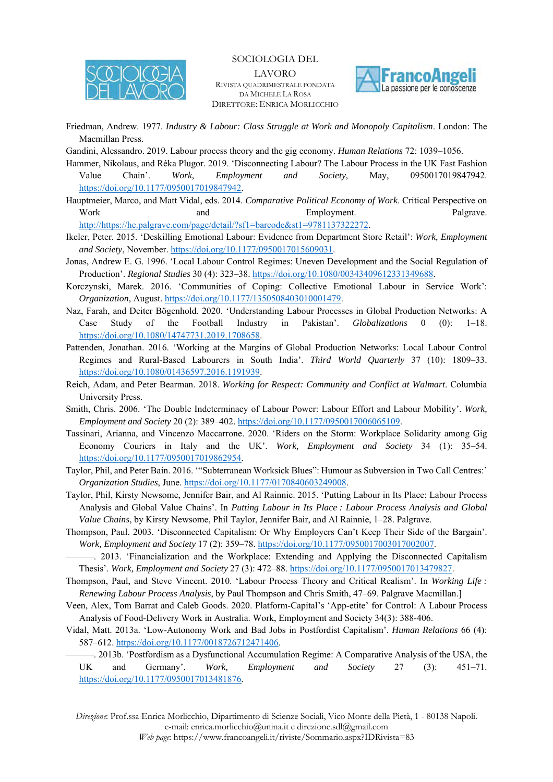

SOCIOLOGIA DEL

LAVORO RIVISTA QUADRIMESTRALE FONDATA DA MICHELE LA ROSA DIRETTORE: ENRICA MORLICCHIO



- Friedman, Andrew. 1977. *Industry & Labour: Class Struggle at Work and Monopoly Capitalism*. London: The Macmillan Press.
- Gandini, Alessandro. 2019. Labour process theory and the gig economy. *Human Relations* 72: 1039–1056.
- Hammer, Nikolaus, and Réka Plugor. 2019. 'Disconnecting Labour? The Labour Process in the UK Fast Fashion Value Chain'. *Work, Employment and Society*, May, 0950017019847942. https://doi.org/10.1177/0950017019847942.
- Hauptmeier, Marco, and Matt Vidal, eds. 2014. *Comparative Political Economy of Work*. Critical Perspective on Work and and Employment. Palgrave.

http://https://he.palgrave.com/page/detail/?sf1=barcode&st1=9781137322272.

- Ikeler, Peter. 2015. 'Deskilling Emotional Labour: Evidence from Department Store Retail': *Work, Employment and Society*, November. https://doi.org/10.1177/0950017015609031.
- Jonas, Andrew E. G. 1996. 'Local Labour Control Regimes: Uneven Development and the Social Regulation of Production'. *Regional Studies* 30 (4): 323–38. https://doi.org/10.1080/00343409612331349688.
- Korczynski, Marek. 2016. 'Communities of Coping: Collective Emotional Labour in Service Work': *Organization*, August. https://doi.org/10.1177/1350508403010001479.
- Naz, Farah, and Deiter Bögenhold. 2020. 'Understanding Labour Processes in Global Production Networks: A Case Study of the Football Industry in Pakistan'. *Globalizations* 0 (0): https://doi.org/10.1080/14747731.2019.1708658.
- Pattenden, Jonathan. 2016. 'Working at the Margins of Global Production Networks: Local Labour Control Regimes and Rural-Based Labourers in South India'. *Third World Quarterly* 37 (10): 1809–33. https://doi.org/10.1080/01436597.2016.1191939.
- Reich, Adam, and Peter Bearman. 2018. *Working for Respect: Community and Conflict at Walmart*. Columbia University Press.
- Smith, Chris. 2006. 'The Double Indeterminacy of Labour Power: Labour Effort and Labour Mobility'. *Work, Employment and Society* 20 (2): 389–402. https://doi.org/10.1177/0950017006065109.
- Tassinari, Arianna, and Vincenzo Maccarrone. 2020. 'Riders on the Storm: Workplace Solidarity among Gig Economy Couriers in Italy and the UK'. *Work, Employment and Society* 34 (1): 35–54. https://doi.org/10.1177/0950017019862954.
- Taylor, Phil, and Peter Bain. 2016. '"Subterranean Worksick Blues": Humour as Subversion in Two Call Centres:' *Organization Studies*, June. https://doi.org/10.1177/0170840603249008.
- Taylor, Phil, Kirsty Newsome, Jennifer Bair, and Al Rainnie. 2015. 'Putting Labour in Its Place: Labour Process Analysis and Global Value Chains'. In *Putting Labour in Its Place : Labour Process Analysis and Global Value Chains*, by Kirsty Newsome, Phil Taylor, Jennifer Bair, and Al Rainnie, 1–28. Palgrave.
- Thompson, Paul. 2003. 'Disconnected Capitalism: Or Why Employers Can't Keep Their Side of the Bargain'. *Work, Employment and Society* 17 (2): 359–78. https://doi.org/10.1177/0950017003017002007.
- ———. 2013. 'Financialization and the Workplace: Extending and Applying the Disconnected Capitalism Thesis'. *Work, Employment and Society* 27 (3): 472–88. https://doi.org/10.1177/0950017013479827.
- Thompson, Paul, and Steve Vincent. 2010. 'Labour Process Theory and Critical Realism'. In *Working Life : Renewing Labour Process Analysis*, by Paul Thompson and Chris Smith, 47–69. Palgrave Macmillan.]
- Veen, Alex, Tom Barrat and Caleb Goods. 2020. Platform-Capital's 'App-etite' for Control: A Labour Process Analysis of Food-Delivery Work in Australia. Work, Employment and Society 34(3): 388-406.
- Vidal, Matt. 2013a. 'Low-Autonomy Work and Bad Jobs in Postfordist Capitalism'. *Human Relations* 66 (4): 587–612. https://doi.org/10.1177/0018726712471406.
	- ———. 2013b. 'Postfordism as a Dysfunctional Accumulation Regime: A Comparative Analysis of the USA, the UK and Germany'. *Work, Employment and Society* 27 (3): 451–71. https://doi.org/10.1177/0950017013481876.

*Direzione*: Prof.ssa Enrica Morlicchio, Dipartimento di Scienze Sociali, Vico Monte della Pietà, 1 - 80138 Napoli. e-mail: enrica.morlicchio@unina.it e direzione.sdl@gmail.com *Web page*: https://www.francoangeli.it/riviste/Sommario.aspx?IDRivista=83